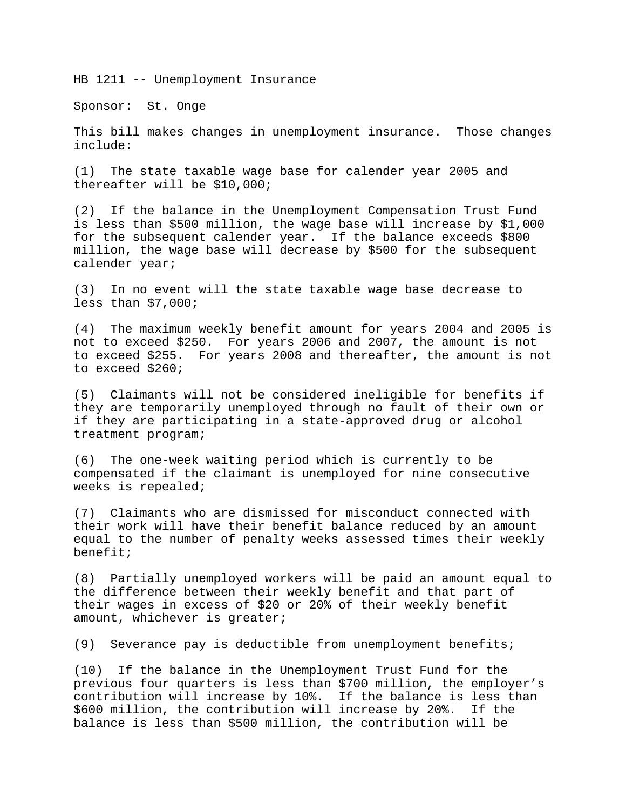HB 1211 -- Unemployment Insurance

Sponsor: St. Onge

This bill makes changes in unemployment insurance. Those changes include:

(1) The state taxable wage base for calender year 2005 and thereafter will be \$10,000;

(2) If the balance in the Unemployment Compensation Trust Fund is less than \$500 million, the wage base will increase by \$1,000 for the subsequent calender year. If the balance exceeds \$800 million, the wage base will decrease by \$500 for the subsequent calender year;

(3) In no event will the state taxable wage base decrease to less than \$7,000;

(4) The maximum weekly benefit amount for years 2004 and 2005 is not to exceed \$250. For years 2006 and 2007, the amount is not to exceed \$255. For years 2008 and thereafter, the amount is not to exceed \$260;

(5) Claimants will not be considered ineligible for benefits if they are temporarily unemployed through no fault of their own or if they are participating in a state-approved drug or alcohol treatment program;

(6) The one-week waiting period which is currently to be compensated if the claimant is unemployed for nine consecutive weeks is repealed;

(7) Claimants who are dismissed for misconduct connected with their work will have their benefit balance reduced by an amount equal to the number of penalty weeks assessed times their weekly benefit;

(8) Partially unemployed workers will be paid an amount equal to the difference between their weekly benefit and that part of their wages in excess of \$20 or 20% of their weekly benefit amount, whichever is greater;

(9) Severance pay is deductible from unemployment benefits;

(10) If the balance in the Unemployment Trust Fund for the previous four quarters is less than \$700 million, the employer's contribution will increase by 10%. If the balance is less than \$600 million, the contribution will increase by 20%. If the balance is less than \$500 million, the contribution will be